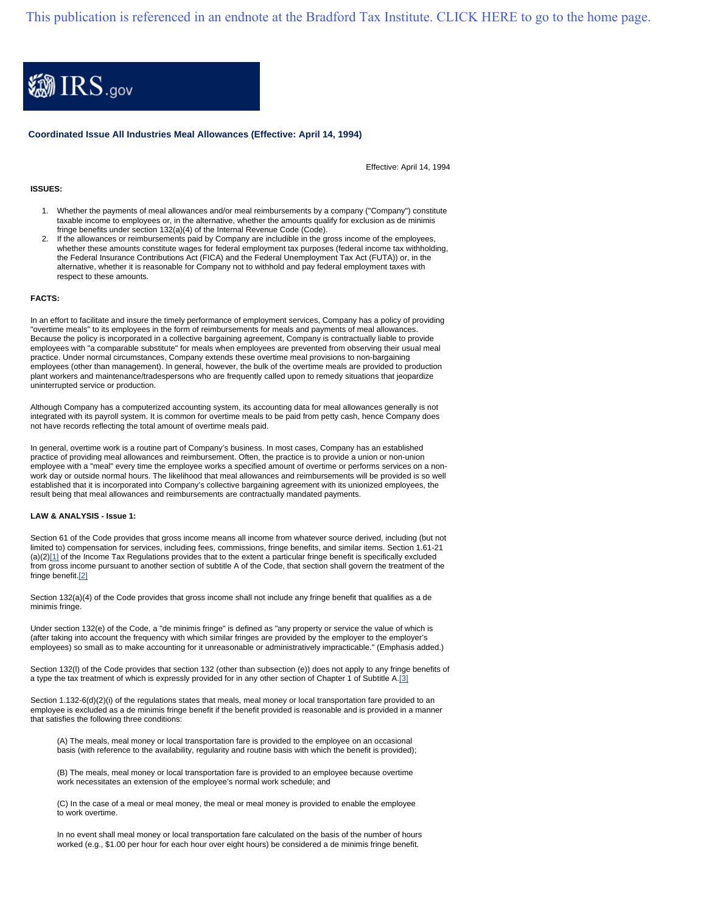[This publication is referenced in an endnote at the Bradford Tax Institute. CLICK HERE to go to the home page.](http://www.bradfordtaxinstitute.com)



**Coordinated Issue All Industries Meal Allowances (Effective: April 14, 1994)**

Effective: April 14, 1994

# **ISSUES:**

- 1. Whether the payments of meal allowances and/or meal reimbursements by a company ("Company") constitute taxable income to employees or, in the alternative, whether the amounts qualify for exclusion as de minimis fringe benefits under section 132(a)(4) of the Internal Revenue Code (Code).
- 2. If the allowances or reimbursements paid by Company are includible in the gross income of the employees, whether these amounts constitute wages for federal employment tax purposes (federal income tax withholding, the Federal Insurance Contributions Act (FICA) and the Federal Unemployment Tax Act (FUTA)) or, in the alternative, whether it is reasonable for Company not to withhold and pay federal employment taxes with respect to these amounts.

### **FACTS:**

In an effort to facilitate and insure the timely performance of employment services, Company has a policy of providing "overtime meals" to its employees in the form of reimbursements for meals and payments of meal allowances. Because the policy is incorporated in a collective bargaining agreement, Company is contractually liable to provide employees with "a comparable substitute" for meals when employees are prevented from observing their usual meal practice. Under normal circumstances, Company extends these overtime meal provisions to non-bargaining employees (other than management). In general, however, the bulk of the overtime meals are provided to production plant workers and maintenance/tradespersons who are frequently called upon to remedy situations that jeopardize uninterrupted service or production.

Although Company has a computerized accounting system, its accounting data for meal allowances generally is not integrated with its payroll system. It is common for overtime meals to be paid from petty cash, hence Company does not have records reflecting the total amount of overtime meals paid.

In general, overtime work is a routine part of Company's business. In most cases, Company has an established practice of providing meal allowances and reimbursement. Often, the practice is to provide a union or non-union employee with a "meal" every time the employee works a specified amount of overtime or performs services on a nonwork day or outside normal hours. The likelihood that meal allowances and reimbursements will be provided is so well established that it is incorporated into Company's collective bargaining agreement with its unionized employees, the result being that meal allowances and reimbursements are contractually mandated payments.

#### **LAW & ANALYSIS - Issue 1:**

Section 61 of the Code provides that gross income means all income from whatever source derived, including (but not limited to) compensation for services, including fees, commissions, fringe benefits, and similar items. Section 1.61-21 (a)(2)[1] of the Income Tax Regulations provides that to the extent a particular fringe benefit is specifically excluded from gross income pursuant to another section of subtitle A of the Code, that section shall govern the treatment of the fringe benefit.[2]

Section 132(a)(4) of the Code provides that gross income shall not include any fringe benefit that qualifies as a de minimis fringe.

Under section 132(e) of the Code, a "de minimis fringe" is defined as "any property or service the value of which is (after taking into account the frequency with which similar fringes are provided by the employer to the employer's employees) so small as to make accounting for it unreasonable or administratively impracticable." (Emphasis added.)

Section 132(l) of the Code provides that section 132 (other than subsection (e)) does not apply to any fringe benefits of a type the tax treatment of which is expressly provided for in any other section of Chapter 1 of Subtitle A.[3]

Section 1.132-6(d)(2)(i) of the regulations states that meals, meal money or local transportation fare provided to an employee is excluded as a de minimis fringe benefit if the benefit provided is reasonable and is provided in a manner that satisfies the following three conditions:

(A) The meals, meal money or local transportation fare is provided to the employee on an occasional basis (with reference to the availability, regularity and routine basis with which the benefit is provided);

(B) The meals, meal money or local transportation fare is provided to an employee because overtime work necessitates an extension of the employee's normal work schedule; and

(C) In the case of a meal or meal money, the meal or meal money is provided to enable the employee to work overtime.

In no event shall meal money or local transportation fare calculated on the basis of the number of hours worked (e.g., \$1.00 per hour for each hour over eight hours) be considered a de minimis fringe benefit.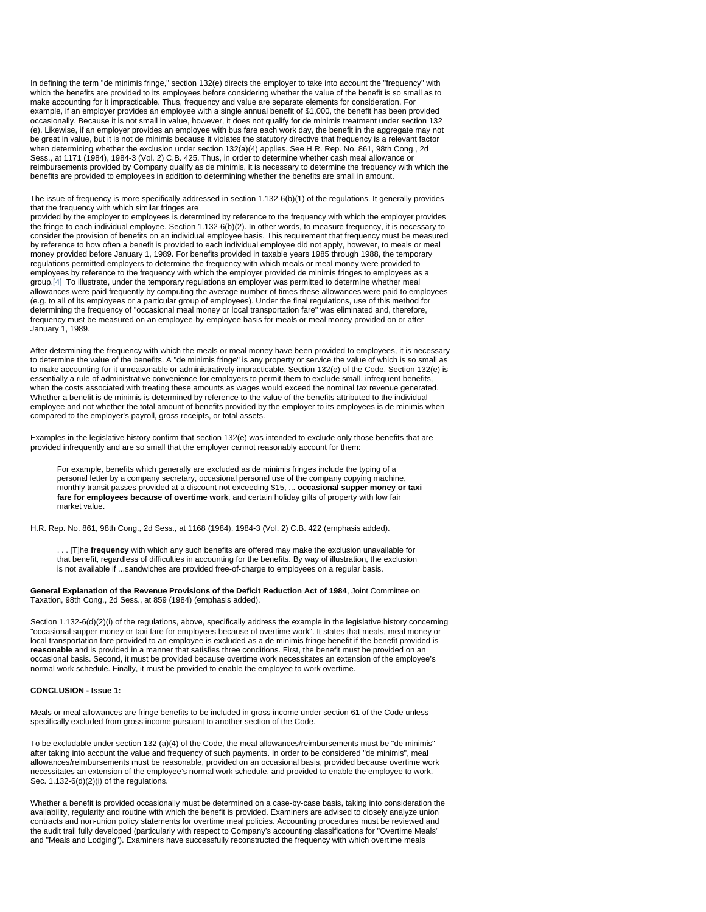In defining the term "de minimis fringe," section 132(e) directs the employer to take into account the "frequency" with which the benefits are provided to its employees before considering whether the value of the benefit is so small as to make accounting for it impracticable. Thus, frequency and value are separate elements for consideration. For example, if an employer provides an employee with a single annual benefit of \$1,000, the benefit has been provided occasionally. Because it is not small in value, however, it does not qualify for de minimis treatment under section 132 (e). Likewise, if an employer provides an employee with bus fare each work day, the benefit in the aggregate may not be great in value, but it is not de minimis because it violates the statutory directive that frequency is a relevant factor when determining whether the exclusion under section 132(a)(4) applies. See H.R. Rep. No. 861, 98th Cong., 2d Sess., at 1171 (1984), 1984-3 (Vol. 2) C.B. 425. Thus, in order to determine whether cash meal allowance or reimbursements provided by Company qualify as de minimis, it is necessary to determine the frequency with which the benefits are provided to employees in addition to determining whether the benefits are small in amount.

The issue of frequency is more specifically addressed in section 1.132-6(b)(1) of the regulations. It generally provides that the frequency with which similar fringes are

provided by the employer to employees is determined by reference to the frequency with which the employer provides the fringe to each individual employee. Section 1.132-6(b)(2). In other words, to measure frequency, it is necessary to consider the provision of benefits on an individual employee basis. This requirement that frequency must be measured by reference to how often a benefit is provided to each individual employee did not apply, however, to meals or meal money provided before January 1, 1989. For benefits provided in taxable years 1985 through 1988, the temporary regulations permitted employers to determine the frequency with which meals or meal money were provided to employees by reference to the frequency with which the employer provided de minimis fringes to employees as a group.[4] To illustrate, under the temporary regulations an employer was permitted to determine whether meal allowances were paid frequently by computing the average number of times these allowances were paid to employees (e.g. to all of its employees or a particular group of employees). Under the final regulations, use of this method for determining the frequency of "occasional meal money or local transportation fare" was eliminated and, therefore, frequency must be measured on an employee-by-employee basis for meals or meal money provided on or after January 1, 1989.

After determining the frequency with which the meals or meal money have been provided to employees, it is necessary to determine the value of the benefits. A "de minimis fringe" is any property or service the value of which is so small as to make accounting for it unreasonable or administratively impracticable. Section 132(e) of the Code. Section 132(e) is essentially a rule of administrative convenience for employers to permit them to exclude small, infrequent benefits, when the costs associated with treating these amounts as wages would exceed the nominal tax revenue generated. Whether a benefit is de minimis is determined by reference to the value of the benefits attributed to the individual employee and not whether the total amount of benefits provided by the employer to its employees is de minimis when compared to the employer's payroll, gross receipts, or total assets.

Examples in the legislative history confirm that section 132(e) was intended to exclude only those benefits that are provided infrequently and are so small that the employer cannot reasonably account for them:

For example, benefits which generally are excluded as de minimis fringes include the typing of a personal letter by a company secretary, occasional personal use of the company copying machine, monthly transit passes provided at a discount not exceeding \$15, ... **occasional supper money or taxi fare for employees because of overtime work**, and certain holiday gifts of property with low fair market value.

H.R. Rep. No. 861, 98th Cong., 2d Sess., at 1168 (1984), 1984-3 (Vol. 2) C.B. 422 (emphasis added).

. . . [T]he **frequency** with which any such benefits are offered may make the exclusion unavailable for that benefit, regardless of difficulties in accounting for the benefits. By way of illustration, the exclusion is not available if ...sandwiches are provided free-of-charge to employees on a regular basis.

**General Explanation of the Revenue Provisions of the Deficit Reduction Act of 1984**, Joint Committee on Taxation, 98th Cong., 2d Sess., at 859 (1984) (emphasis added).

Section 1.132-6(d)(2)(i) of the regulations, above, specifically address the example in the legislative history concerning "occasional supper money or taxi fare for employees because of overtime work". It states that meals, meal money or local transportation fare provided to an employee is excluded as a de minimis fringe benefit if the benefit provided is **reasonable** and is provided in a manner that satisfies three conditions. First, the benefit must be provided on an occasional basis. Second, it must be provided because overtime work necessitates an extension of the employee's normal work schedule. Finally, it must be provided to enable the employee to work overtime.

### **CONCLUSION - Issue 1:**

Meals or meal allowances are fringe benefits to be included in gross income under section 61 of the Code unless specifically excluded from gross income pursuant to another section of the Code.

To be excludable under section 132 (a)(4) of the Code, the meal allowances/reimbursements must be "de minimis" after taking into account the value and frequency of such payments. In order to be considered "de minimis", meal allowances/reimbursements must be reasonable, provided on an occasional basis, provided because overtime work necessitates an extension of the employee's normal work schedule, and provided to enable the employee to work. Sec. 1.132-6(d)(2)(i) of the regulations.

Whether a benefit is provided occasionally must be determined on a case-by-case basis, taking into consideration the availability, regularity and routine with which the benefit is provided. Examiners are advised to closely analyze union contracts and non-union policy statements for overtime meal policies. Accounting procedures must be reviewed and the audit trail fully developed (particularly with respect to Company's accounting classifications for "Overtime Meals" and "Meals and Lodging"). Examiners have successfully reconstructed the frequency with which overtime meals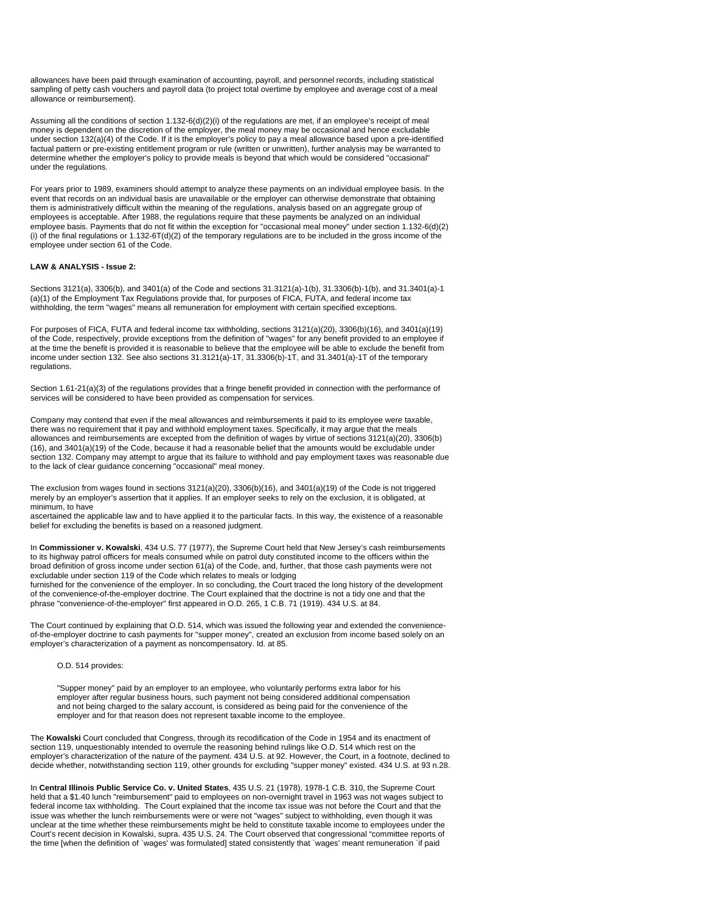allowances have been paid through examination of accounting, payroll, and personnel records, including statistical sampling of petty cash vouchers and payroll data (to project total overtime by employee and average cost of a meal allowance or reimbursement).

Assuming all the conditions of section 1.132-6(d)(2)(i) of the regulations are met, if an employee's receipt of meal money is dependent on the discretion of the employer, the meal money may be occasional and hence excludable under section 132(a)(4) of the Code. If it is the employer's policy to pay a meal allowance based upon a pre-identified factual pattern or pre-existing entitlement program or rule (written or unwritten), further analysis may be warranted to determine whether the employer's policy to provide meals is beyond that which would be considered "occasional" under the regulations.

For years prior to 1989, examiners should attempt to analyze these payments on an individual employee basis. In the event that records on an individual basis are unavailable or the employer can otherwise demonstrate that obtaining them is administratively difficult within the meaning of the regulations, analysis based on an aggregate group of employees is acceptable. After 1988, the regulations require that these payments be analyzed on an individual employee basis. Payments that do not fit within the exception for "occasional meal money" under section 1.132-6(d)(2) (i) of the final regulations or 1.132-6T(d)(2) of the temporary regulations are to be included in the gross income of the employee under section 61 of the Code.

# **LAW & ANALYSIS - Issue 2:**

Sections 3121(a), 3306(b), and 3401(a) of the Code and sections 31.3121(a)-1(b), 31.3306(b)-1(b), and 31.3401(a)-1 (a)(1) of the Employment Tax Regulations provide that, for purposes of FICA, FUTA, and federal income tax withholding, the term "wages" means all remuneration for employment with certain specified exceptions.

For purposes of FICA, FUTA and federal income tax withholding, sections 3121(a)(20), 3306(b)(16), and 3401(a)(19) of the Code, respectively, provide exceptions from the definition of "wages" for any benefit provided to an employee if at the time the benefit is provided it is reasonable to believe that the employee will be able to exclude the benefit from income under section 132. See also sections 31.3121(a)-1T, 31.3306(b)-1T, and 31.3401(a)-1T of the temporary regulations.

Section 1.61-21(a)(3) of the regulations provides that a fringe benefit provided in connection with the performance of services will be considered to have been provided as compensation for services.

Company may contend that even if the meal allowances and reimbursements it paid to its employee were taxable, there was no requirement that it pay and withhold employment taxes. Specifically, it may argue that the meals allowances and reimbursements are excepted from the definition of wages by virtue of sections 3121(a)(20), 3306(b) (16), and 3401(a)(19) of the Code, because it had a reasonable belief that the amounts would be excludable under section 132. Company may attempt to argue that its failure to withhold and pay employment taxes was reasonable due to the lack of clear guidance concerning "occasional" meal money.

The exclusion from wages found in sections 3121(a)(20), 3306(b)(16), and 3401(a)(19) of the Code is not triggered merely by an employer's assertion that it applies. If an employer seeks to rely on the exclusion, it is obligated, at minimum, to have

ascertained the applicable law and to have applied it to the particular facts. In this way, the existence of a reasonable belief for excluding the benefits is based on a reasoned judgment.

In **Commissioner v. Kowalski**, 434 U.S. 77 (1977), the Supreme Court held that New Jersey's cash reimbursements to its highway patrol officers for meals consumed while on patrol duty constituted income to the officers within the broad definition of gross income under section 61(a) of the Code, and, further, that those cash payments were not excludable under section 119 of the Code which relates to meals or lodging

furnished for the convenience of the employer. In so concluding, the Court traced the long history of the development of the convenience-of-the-employer doctrine. The Court explained that the doctrine is not a tidy one and that the phrase "convenience-of-the-employer" first appeared in O.D. 265, 1 C.B. 71 (1919). 434 U.S. at 84.

The Court continued by explaining that O.D. 514, which was issued the following year and extended the convenienceof-the-employer doctrine to cash payments for "supper money", created an exclusion from income based solely on an employer's characterization of a payment as noncompensatory. Id. at 85.

O.D. 514 provides:

"Supper money" paid by an employer to an employee, who voluntarily performs extra labor for his employer after regular business hours, such payment not being considered additional compensation and not being charged to the salary account, is considered as being paid for the convenience of the employer and for that reason does not represent taxable income to the employee.

The **Kowalski** Court concluded that Congress, through its recodification of the Code in 1954 and its enactment of section 119, unquestionably intended to overrule the reasoning behind rulings like O.D. 514 which rest on the employer's characterization of the nature of the payment. 434 U.S. at 92. However, the Court, in a footnote, declined to decide whether, notwithstanding section 119, other grounds for excluding "supper money" existed. 434 U.S. at 93 n.28.

In **Central Illinois Public Service Co. v. United States**, 435 U.S. 21 (1978), 1978-1 C.B. 310, the Supreme Court held that a \$1.40 lunch "reimbursement" paid to employees on non-overnight travel in 1963 was not wages subject to federal income tax withholding. The Court explained that the income tax issue was not before the Court and that the issue was whether the lunch reimbursements were or were not "wages" subject to withholding, even though it was unclear at the time whether these reimbursements might be held to constitute taxable income to employees under the Court's recent decision in Kowalski, supra. 435 U.S. 24. The Court observed that congressional "committee reports of the time [when the definition of `wages' was formulated] stated consistently that `wages' meant remuneration `if paid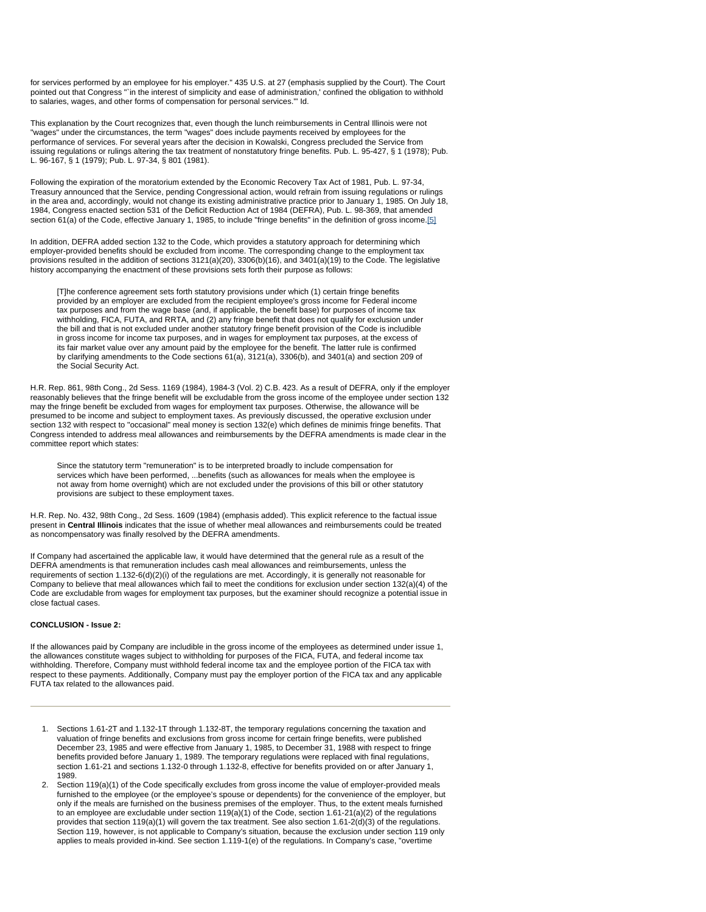for services performed by an employee for his employer." 435 U.S. at 27 (emphasis supplied by the Court). The Court pointed out that Congress "`in the interest of simplicity and ease of administration,' confined the obligation to withhold to salaries, wages, and other forms of compensation for personal services.'" Id.

This explanation by the Court recognizes that, even though the lunch reimbursements in Central Illinois were not "wages" under the circumstances, the term "wages" does include payments received by employees for the performance of services. For several years after the decision in Kowalski, Congress precluded the Service from issuing regulations or rulings altering the tax treatment of nonstatutory fringe benefits. Pub. L. 95-427, § 1 (1978); Pub. L. 96-167, § 1 (1979); Pub. L. 97-34, § 801 (1981).

Following the expiration of the moratorium extended by the Economic Recovery Tax Act of 1981, Pub. L. 97-34, Treasury announced that the Service, pending Congressional action, would refrain from issuing regulations or rulings in the area and, accordingly, would not change its existing administrative practice prior to January 1, 1985. On July 18, 1984, Congress enacted section 531 of the Deficit Reduction Act of 1984 (DEFRA), Pub. L. 98-369, that amended section 61(a) of the Code, effective January 1, 1985, to include "fringe benefits" in the definition of gross income.[5]

In addition, DEFRA added section 132 to the Code, which provides a statutory approach for determining which employer-provided benefits should be excluded from income. The corresponding change to the employment tax provisions resulted in the addition of sections 3121(a)(20), 3306(b)(16), and 3401(a)(19) to the Code. The legislative history accompanying the enactment of these provisions sets forth their purpose as follows:

[T]he conference agreement sets forth statutory provisions under which (1) certain fringe benefits provided by an employer are excluded from the recipient employee's gross income for Federal income tax purposes and from the wage base (and, if applicable, the benefit base) for purposes of income tax withholding, FICA, FUTA, and RRTA, and (2) any fringe benefit that does not qualify for exclusion under the bill and that is not excluded under another statutory fringe benefit provision of the Code is includible in gross income for income tax purposes, and in wages for employment tax purposes, at the excess of its fair market value over any amount paid by the employee for the benefit. The latter rule is confirmed by clarifying amendments to the Code sections 61(a), 3121(a), 3306(b), and 3401(a) and section 209 of the Social Security Act.

H.R. Rep. 861, 98th Cong., 2d Sess. 1169 (1984), 1984-3 (Vol. 2) C.B. 423. As a result of DEFRA, only if the employer reasonably believes that the fringe benefit will be excludable from the gross income of the employee under section 132 may the fringe benefit be excluded from wages for employment tax purposes. Otherwise, the allowance will be presumed to be income and subject to employment taxes. As previously discussed, the operative exclusion under section 132 with respect to "occasional" meal money is section 132(e) which defines de minimis fringe benefits. That Congress intended to address meal allowances and reimbursements by the DEFRA amendments is made clear in the committee report which states:

Since the statutory term "remuneration" is to be interpreted broadly to include compensation for services which have been performed, ...benefits (such as allowances for meals when the employee is not away from home overnight) which are not excluded under the provisions of this bill or other statutory provisions are subject to these employment taxes.

H.R. Rep. No. 432, 98th Cong., 2d Sess. 1609 (1984) (emphasis added). This explicit reference to the factual issue present in **Central Illinois** indicates that the issue of whether meal allowances and reimbursements could be treated as noncompensatory was finally resolved by the DEFRA amendments.

If Company had ascertained the applicable law, it would have determined that the general rule as a result of the DEFRA amendments is that remuneration includes cash meal allowances and reimbursements, unless the requirements of section 1.132-6(d)(2)(i) of the regulations are met. Accordingly, it is generally not reasonable for Company to believe that meal allowances which fail to meet the conditions for exclusion under section 132(a)(4) of the Code are excludable from wages for employment tax purposes, but the examiner should recognize a potential issue in close factual cases.

# **CONCLUSION - Issue 2:**

If the allowances paid by Company are includible in the gross income of the employees as determined under issue 1, the allowances constitute wages subject to withholding for purposes of the FICA, FUTA, and federal income tax withholding. Therefore, Company must withhold federal income tax and the employee portion of the FICA tax with respect to these payments. Additionally, Company must pay the employer portion of the FICA tax and any applicable FUTA tax related to the allowances paid.

- 1. Sections 1.61-2T and 1.132-1T through 1.132-8T, the temporary regulations concerning the taxation and valuation of fringe benefits and exclusions from gross income for certain fringe benefits, were published December 23, 1985 and were effective from January 1, 1985, to December 31, 1988 with respect to fringe benefits provided before January 1, 1989. The temporary regulations were replaced with final regulations, section 1.61-21 and sections 1.132-0 through 1.132-8, effective for benefits provided on or after January 1, 1989.
- 2. Section 119(a)(1) of the Code specifically excludes from gross income the value of employer-provided meals furnished to the employee (or the employee's spouse or dependents) for the convenience of the employer, but only if the meals are furnished on the business premises of the employer. Thus, to the extent meals furnished to an employee are excludable under section  $119(a)(1)$  of the Code, section  $1.61-21(a)(2)$  of the regulations provides that section 119(a)(1) will govern the tax treatment. See also section 1.61-2(d)(3) of the regulations. Section 119, however, is not applicable to Company's situation, because the exclusion under section 119 only applies to meals provided in-kind. See section 1.119-1(e) of the regulations. In Company's case, "overtime